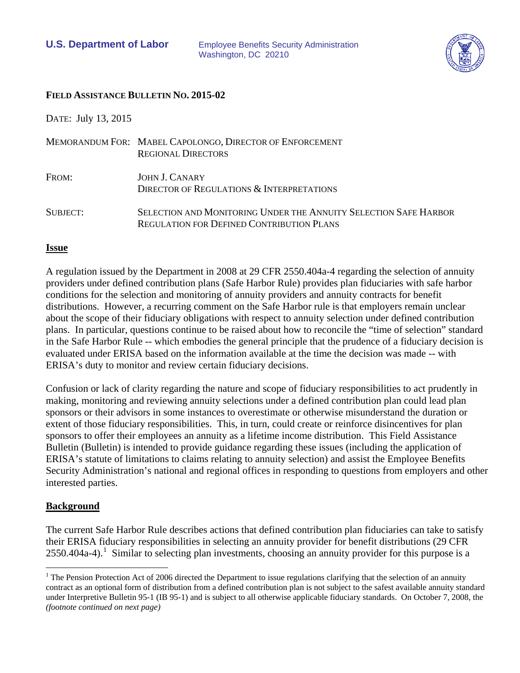

#### **FIELD ASSISTANCE BULLETIN NO. 2015-02**

DATE: July 13, 2015

|                 | MEMORANDUM FOR: MABEL CAPOLONGO, DIRECTOR OF ENFORCEMENT<br><b>REGIONAL DIRECTORS</b>                                |
|-----------------|----------------------------------------------------------------------------------------------------------------------|
| FROM:           | JOHN J. CANARY<br>DIRECTOR OF REGULATIONS & INTERPRETATIONS                                                          |
| <b>SUBJECT:</b> | SELECTION AND MONITORING UNDER THE ANNUITY SELECTION SAFE HARBOR<br><b>REGULATION FOR DEFINED CONTRIBUTION PLANS</b> |

#### **Issue**

A regulation issued by the Department in 2008 at 29 CFR 2550.404a-4 regarding the selection of annuity providers under defined contribution plans (Safe Harbor Rule) provides plan fiduciaries with safe harbor conditions for the selection and monitoring of annuity providers and annuity contracts for benefit distributions. However, a recurring comment on the Safe Harbor rule is that employers remain unclear about the scope of their fiduciary obligations with respect to annuity selection under defined contribution plans. In particular, questions continue to be raised about how to reconcile the "time of selection" standard in the Safe Harbor Rule -- which embodies the general principle that the prudence of a fiduciary decision is evaluated under ERISA based on the information available at the time the decision was made -- with ERISA's duty to monitor and review certain fiduciary decisions.

Confusion or lack of clarity regarding the nature and scope of fiduciary responsibilities to act prudently in making, monitoring and reviewing annuity selections under a defined contribution plan could lead plan sponsors or their advisors in some instances to overestimate or otherwise misunderstand the duration or extent of those fiduciary responsibilities. This, in turn, could create or reinforce disincentives for plan sponsors to offer their employees an annuity as a lifetime income distribution. This Field Assistance Bulletin (Bulletin) is intended to provide guidance regarding these issues (including the application of ERISA's statute of limitations to claims relating to annuity selection) and assist the Employee Benefits Security Administration's national and regional offices in responding to questions from employers and other interested parties.

### **Background**

The current Safe Harbor Rule describes actions that defined contribution plan fiduciaries can take to satisfy their ERISA fiduciary responsibilities in selecting an annuity provider for benefit distributions (29 CFR  $2550.404a-4$ ).<sup>[1](#page-0-0)</sup> Similar to selecting plan investments, choosing an annuity provider for this purpose is a

<span id="page-0-0"></span> $1$  The Pension Protection Act of 2006 directed the Department to issue regulations clarifying that the selection of an annuity contract as an optional form of distribution from a defined contribution plan is not subject to the safest available annuity standard under Interpretive Bulletin 95-1 (IB 95-1) and is subject to all otherwise applicable fiduciary standards. On October 7, 2008, the *(footnote continued on next page)*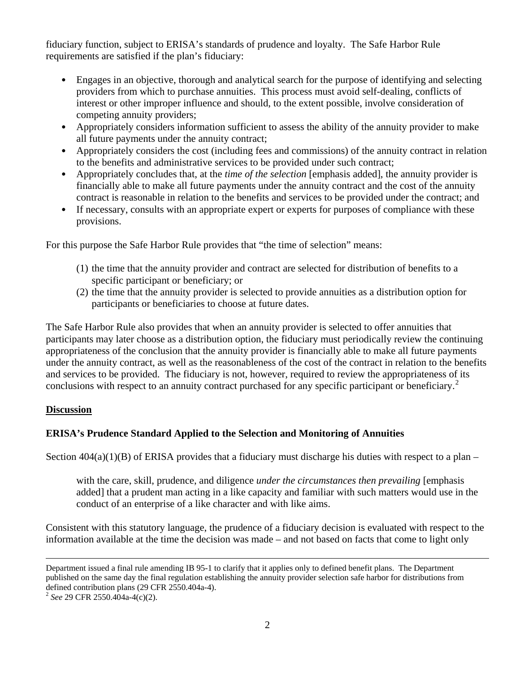fiduciary function, subject to ERISA's standards of prudence and loyalty. The Safe Harbor Rule requirements are satisfied if the plan's fiduciary:

- Engages in an objective, thorough and analytical search for the purpose of identifying and selecting providers from which to purchase annuities. This process must avoid self-dealing, conflicts of interest or other improper influence and should, to the extent possible, involve consideration of competing annuity providers;
- Appropriately considers information sufficient to assess the ability of the annuity provider to make all future payments under the annuity contract;
- Appropriately considers the cost (including fees and commissions) of the annuity contract in relation to the benefits and administrative services to be provided under such contract;
- Appropriately concludes that, at the *time of the selection* [emphasis added], the annuity provider is financially able to make all future payments under the annuity contract and the cost of the annuity contract is reasonable in relation to the benefits and services to be provided under the contract; and
- If necessary, consults with an appropriate expert or experts for purposes of compliance with these provisions.

For this purpose the Safe Harbor Rule provides that "the time of selection" means:

- (1) the time that the annuity provider and contract are selected for distribution of benefits to a specific participant or beneficiary; or
- (2) the time that the annuity provider is selected to provide annuities as a distribution option for participants or beneficiaries to choose at future dates.

The Safe Harbor Rule also provides that when an annuity provider is selected to offer annuities that participants may later choose as a distribution option, the fiduciary must periodically review the continuing appropriateness of the conclusion that the annuity provider is financially able to make all future payments under the annuity contract, as well as the reasonableness of the cost of the contract in relation to the benefits and services to be provided. The fiduciary is not, however, required to review the appropriateness of its conclusions with respect to an annuity contract purchased for any specific participant or beneficiary.<sup>[2](#page-1-0)</sup>

### **Discussion**

### **ERISA's Prudence Standard Applied to the Selection and Monitoring of Annuities**

Section  $404(a)(1)(B)$  of ERISA provides that a fiduciary must discharge his duties with respect to a plan –

with the care, skill, prudence, and diligence *under the circumstances then prevailing* [emphasis added] that a prudent man acting in a like capacity and familiar with such matters would use in the conduct of an enterprise of a like character and with like aims.

Consistent with this statutory language, the prudence of a fiduciary decision is evaluated with respect to the information available at the time the decision was made – and not based on facts that come to light only

<span id="page-1-0"></span>

Department issued a final rule amending IB 95-1 to clarify that it applies only to defined benefit plans. The Department published on the same day the final regulation establishing the annuity provider selection safe harbor for distributions from defined contribution plans (29 CFR 2550.404a-4). <sup>2</sup> *See* 29 CFR 2550.404a-4(c)(2).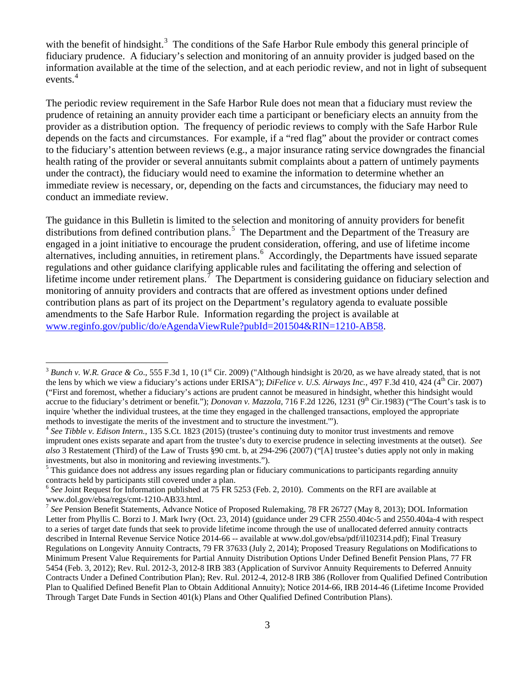with the benefit of hindsight.<sup>[3](#page-2-0)</sup> The conditions of the Safe Harbor Rule embody this general principle of fiduciary prudence. A fiduciary's selection and monitoring of an annuity provider is judged based on the information available at the time of the selection, and at each periodic review, and not in light of subsequent events.<sup>[4](#page-2-1)</sup>

The periodic review requirement in the Safe Harbor Rule does not mean that a fiduciary must review the prudence of retaining an annuity provider each time a participant or beneficiary elects an annuity from the provider as a distribution option. The frequency of periodic reviews to comply with the Safe Harbor Rule depends on the facts and circumstances. For example, if a "red flag" about the provider or contract comes to the fiduciary's attention between reviews (e.g., a major insurance rating service downgrades the financial health rating of the provider or several annuitants submit complaints about a pattern of untimely payments under the contract), the fiduciary would need to examine the information to determine whether an immediate review is necessary, or, depending on the facts and circumstances, the fiduciary may need to conduct an immediate review.

The guidance in this Bulletin is limited to the selection and monitoring of annuity providers for benefit distributions from defined contribution plans.<sup>[5](#page-2-2)</sup> The Department and the Department of the Treasury are engaged in a joint initiative to encourage the prudent consideration, offering, and use of lifetime income alternatives, including annuities, in retirement plans.<sup>[6](#page-2-3)</sup> Accordingly, the Departments have issued separate regulations and other guidance clarifying applicable rules and facilitating the offering and selection of lifetime income under retirement plans.<sup>[7](#page-2-4)</sup> The Department is considering guidance on fiduciary selection and monitoring of annuity providers and contracts that are offered as investment options under defined contribution plans as part of its project on the Department's regulatory agenda to evaluate possible amendments to the Safe Harbor Rule. Information regarding the project is available at [www.reginfo.gov/public/do/eAgendaViewRule?pubId=201504&RIN=1210-AB58.](http://www.reginfo.gov/public/do/eAgendaViewRule?pubId=201504&RIN=1210-AB58)

<span id="page-2-0"></span><sup>&</sup>lt;sup>3</sup> Bunch v. W.R. Grace & Co., 555 F.3d 1, 10 (1<sup>st</sup> Cir. 2009) ("Although hindsight is 20/20, as we have already stated, that is not the lens by which we view a fiduciary's actions under ERISA"); *DiFelice v. U.S. Airways Inc.*, 497 F.3d 410, 424 (4<sup>th</sup> Cir. 2007) ("First and foremost, whether a fiduciary's actions are prudent cannot be measured in hindsight, whether this hindsight would accrue to the fiduciary's detriment or benefit."); *Donovan v. Mazzola*, 716 F.2d 1226, 1231 (9<sup>th</sup> Cir.1983) ("The Court's task is to inquire 'whether the individual trustees, at the time they engaged in the challenged transactions, employed the appropriate methods to investigate the merits of the investment and to structure the investment.'").

<span id="page-2-1"></span><sup>4</sup> *See Tibble v. Edison Intern.*, 135 S.Ct. 1823 (2015) (trustee's continuing duty to monitor trust investments and remove imprudent ones exists separate and apart from the trustee's duty to exercise prudence in selecting investments at the outset). *See also* 3 Restatement (Third) of the Law of Trusts §90 cmt. b, at 294-296 (2007) ("[A] trustee's duties apply not only in making investments, but also in monitoring and reviewing investments.").

<span id="page-2-2"></span><sup>&</sup>lt;sup>5</sup> This guidance does not address any issues regarding plan or fiduciary communications to participants regarding annuity contracts held by participants still covered under a plan.

<span id="page-2-3"></span><sup>&</sup>lt;sup>6</sup> See Joint Request for Information published at 75 FR 5253 (Feb. 2, 2010). Comments on the RFI are available at www.dol.gov/ebsa/regs/cmt-1210-AB33.html.<br><sup>7</sup> See Pension Benefit Statements, Advance Notice of Proposed Rulemaking, 78 FR 26727 (May 8, 2013); DOL Information

<span id="page-2-4"></span>Letter from Phyllis C. Borzi to J. Mark Iwry (Oct. 23, 2014) (guidance under 29 CFR 2550.404c-5 and 2550.404a-4 with respect to a series of target date funds that seek to provide lifetime income through the use of unallocated deferred annuity contracts described in Internal Revenue Service Notice 2014-66 -- available at www.dol.gov/ebsa/pdf/il102314.pdf); Final Treasury Regulations on Longevity Annuity Contracts, 79 FR 37633 (July 2, 2014); Proposed Treasury Regulations on Modifications to Minimum Present Value Requirements for Partial Annuity Distribution Options Under Defined Benefit Pension Plans, 77 FR 5454 (Feb. 3, 2012); Rev. Rul. 2012-3, 2012-8 IRB 383 (Application of Survivor Annuity Requirements to Deferred Annuity Contracts Under a Defined Contribution Plan); Rev. Rul. 2012-4, 2012-8 IRB 386 (Rollover from Qualified Defined Contribution Plan to Qualified Defined Benefit Plan to Obtain Additional Annuity); Notice 2014-66, IRB 2014-46 (Lifetime Income Provided Through Target Date Funds in Section 401(k) Plans and Other Qualified Defined Contribution Plans).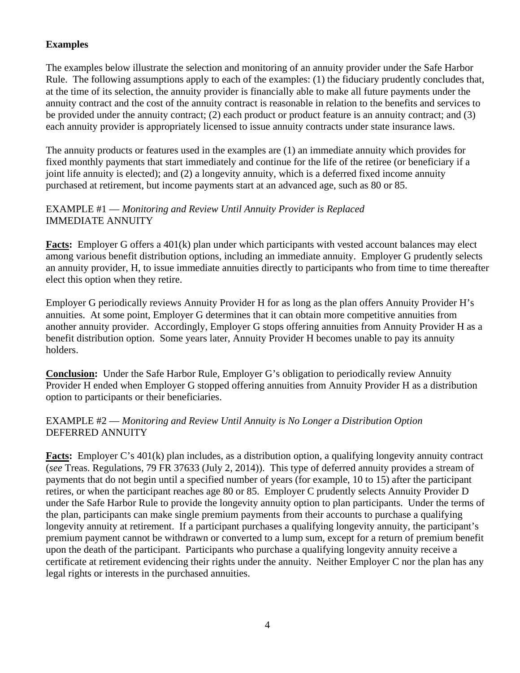# **Examples**

The examples below illustrate the selection and monitoring of an annuity provider under the Safe Harbor Rule. The following assumptions apply to each of the examples: (1) the fiduciary prudently concludes that, at the time of its selection, the annuity provider is financially able to make all future payments under the annuity contract and the cost of the annuity contract is reasonable in relation to the benefits and services to be provided under the annuity contract; (2) each product or product feature is an annuity contract; and (3) each annuity provider is appropriately licensed to issue annuity contracts under state insurance laws.

The annuity products or features used in the examples are (1) an immediate annuity which provides for fixed monthly payments that start immediately and continue for the life of the retiree (or beneficiary if a joint life annuity is elected); and (2) a longevity annuity, which is a deferred fixed income annuity purchased at retirement, but income payments start at an advanced age, such as 80 or 85.

## EXAMPLE #1 — *Monitoring and Review Until Annuity Provider is Replaced* IMMEDIATE ANNUITY

**Facts:** Employer G offers a 401(k) plan under which participants with vested account balances may elect among various benefit distribution options, including an immediate annuity. Employer G prudently selects an annuity provider, H, to issue immediate annuities directly to participants who from time to time thereafter elect this option when they retire.

Employer G periodically reviews Annuity Provider H for as long as the plan offers Annuity Provider H's annuities. At some point, Employer G determines that it can obtain more competitive annuities from another annuity provider. Accordingly, Employer G stops offering annuities from Annuity Provider H as a benefit distribution option. Some years later, Annuity Provider H becomes unable to pay its annuity holders.

**Conclusion:** Under the Safe Harbor Rule, Employer G's obligation to periodically review Annuity Provider H ended when Employer G stopped offering annuities from Annuity Provider H as a distribution option to participants or their beneficiaries.

### EXAMPLE #2 — *Monitoring and Review Until Annuity is No Longer a Distribution Option* DEFERRED ANNUITY

**Facts:** Employer C's 401(k) plan includes, as a distribution option, a qualifying longevity annuity contract (*see* Treas. Regulations, 79 FR 37633 (July 2, 2014)). This type of deferred annuity provides a stream of payments that do not begin until a specified number of years (for example, 10 to 15) after the participant retires, or when the participant reaches age 80 or 85. Employer C prudently selects Annuity Provider D under the Safe Harbor Rule to provide the longevity annuity option to plan participants. Under the terms of the plan, participants can make single premium payments from their accounts to purchase a qualifying longevity annuity at retirement. If a participant purchases a qualifying longevity annuity, the participant's premium payment cannot be withdrawn or converted to a lump sum, except for a return of premium benefit upon the death of the participant. Participants who purchase a qualifying longevity annuity receive a certificate at retirement evidencing their rights under the annuity. Neither Employer C nor the plan has any legal rights or interests in the purchased annuities.